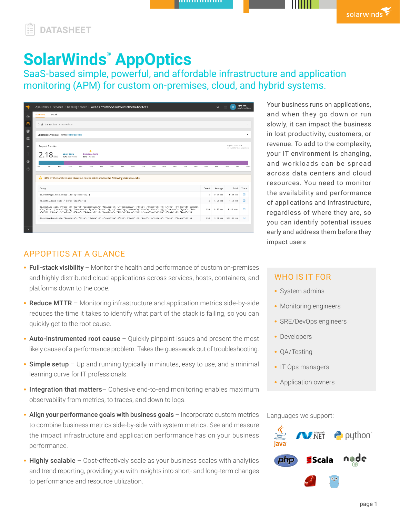,,,,,,,,,,,,,,



# **SolarWinds® AppOptics**

SaaS-based simple, powerful, and affordable infrastructure and application monitoring (APM) for custom on-premises, cloud, and hybrid systems.

| AppOptics > Services > booking-service > web-tier/hotels/5c37da50e4b0ec8a5bae1ee1                                                                                                                                                                                                                                                                                                                                                     |                       | $\alpha$             | <b>Alpha Beta</b><br>曲<br>$\mathsf{R}$                | AppOptics Demo    |
|---------------------------------------------------------------------------------------------------------------------------------------------------------------------------------------------------------------------------------------------------------------------------------------------------------------------------------------------------------------------------------------------------------------------------------------|-----------------------|----------------------|-------------------------------------------------------|-------------------|
| Details<br>Summary                                                                                                                                                                                                                                                                                                                                                                                                                    |                       |                      |                                                       |                   |
| Origin transaction sussex web-tier                                                                                                                                                                                                                                                                                                                                                                                                    |                       |                      |                                                       | $\vee$            |
|                                                                                                                                                                                                                                                                                                                                                                                                                                       |                       |                      |                                                       | $\sim$            |
| Selected service call susvice booking-service                                                                                                                                                                                                                                                                                                                                                                                         |                       |                      |                                                       |                   |
| Request Duration                                                                                                                                                                                                                                                                                                                                                                                                                      |                       |                      | REQUEST START TIME<br>Feb 12, 2020, 10:16 AM (-05:00) |                   |
| Δ<br>2.18 <sub>sec</sub><br><b>Local Code</b><br><b>Database Calls</b><br>12% 261.10 ms<br>88% 1.92 sec                                                                                                                                                                                                                                                                                                                               |                       |                      |                                                       |                   |
|                                                                                                                                                                                                                                                                                                                                                                                                                                       |                       |                      |                                                       |                   |
| OW-<br>5%<br>10%<br>15%<br>23%<br>25%<br>30%<br>35%<br>43%<br>45%<br>50%<br>55%<br>60%<br>55%<br>70%<br>75%                                                                                                                                                                                                                                                                                                                           | 80%                   | 85%                  | 95%<br>90%                                            |                   |
| 88% of the total request duration can be attributed to the following database calls.                                                                                                                                                                                                                                                                                                                                                  |                       |                      |                                                       |                   |
| Query                                                                                                                                                                                                                                                                                                                                                                                                                                 | Count<br>$\mathbf{1}$ | Average              | Total                                                 | Trace             |
| db.roomType.find one({" id':{"\$oid":?}})<br>db.hotel.find one({' id';{'\$oid':?}})                                                                                                                                                                                                                                                                                                                                                   | $\mathbf{1}$          | $0.24$ ms<br>4.50 ms | $0.24$ ms<br>$4.50$ ms                                | 日<br>$\mathbb{Z}$ |
| db.booking.find{{"\$and":[{"\$or":[{"transaction":{"\$exists":?}},{"createdAt":{"\$qte":{"\$date":?}}}}}},"\$or":[{"\$and":[{"fromDat<br>e":{"\$lte":{"\$date":?}}}},"fromDate":{"\$gte":{"\$date":?}}}},{"\$and":[{"toDate":{"\$lte":{"\$date":?}}}},"toDate":{"\$gte':{"\$dat<br>e": ?}}}, {"\$and': [{"toDate": {"\$qt": {"\$date": ?}}}], "fromDate": {"\$lt": {'\$date': ?}}}], "roomType": {"\$id": {"\$aid": ?}, "\$ref": ?}}} | 159                   | 8.37 ms              | $1.33$ sec                                            | 100%<br>$\Box$    |

Your business runs on applications, and when they go down or run slowly, it can impact the business in lost productivity, customers, or revenue. To add to the complexity, your IT environment is changing, and workloads can be spread across data centers and cloud resources. You need to monitor the availability and performance of applications and infrastructure, regardless of where they are, so you can identify potential issues early and address them before they impact users

solarwinds

## APPOPTICS AT A GLANCE

- Full-stack visibility Monitor the health and performance of custom on-premises and highly distributed cloud applications across services, hosts, containers, and platforms down to the code.
- Reduce MTTR Monitoring infrastructure and application metrics side-by-side reduces the time it takes to identify what part of the stack is failing, so you can quickly get to the root cause.
- Auto-instrumented root cause Quickly pinpoint issues and present the most likely cause of a performance problem. Takes the guesswork out of troubleshooting.
- Simple setup Up and running typically in minutes, easy to use, and a minimal learning curve for IT professionals.
- Integration that matters- Cohesive end-to-end monitoring enables maximum observability from metrics, to traces, and down to logs.
- Align your performance goals with business goals Incorporate custom metrics to combine business metrics side-by-side with system metrics. See and measure the impact infrastructure and application performance has on your business performance.
- Highly scalable Cost-effectively scale as your business scales with analytics and trend reporting, providing you with insights into short- and long-term changes to performance and resource utilization.

## WHO IS IT FOR

- System admins
- Monitoring engineers
- SRE/DevOps engineers
- Developers
- QA/Testing
- IT Ops managers
- Application owners

Languages we support:

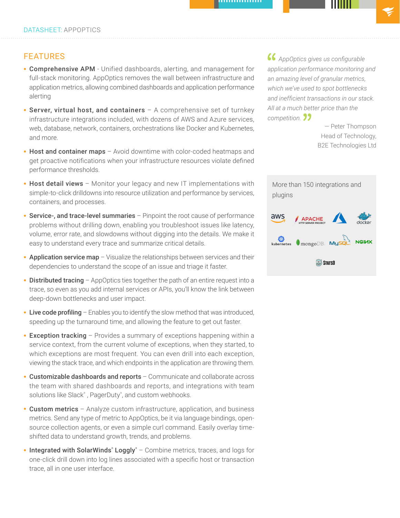## FEATURES

- Comprehensive APM Unified dashboards, alerting, and management for full-stack monitoring. AppOptics removes the wall between infrastructure and application metrics, allowing combined dashboards and application performance alerting
- Server, virtual host, and containers  $-$  A comprehensive set of turnkey infrastructure integrations included, with dozens of AWS and Azure services, web, database, network, containers, orchestrations like Docker and Kubernetes, and more.
- Host and container maps Avoid downtime with color-coded heatmaps and get proactive notifications when your infrastructure resources violate defined performance thresholds.
- Host detail views Monitor your legacy and new IT implementations with simple-to-click drilldowns into resource utilization and performance by services, containers, and processes.
- Service-, and trace-level summaries Pinpoint the root cause of performance problems without drilling down, enabling you troubleshoot issues like latency, volume, error rate, and slowdowns without digging into the details. We make it easy to understand every trace and summarize critical details.
- Application service map Visualize the relationships between services and their dependencies to understand the scope of an issue and triage it faster.
- Distributed tracing AppOptics ties together the path of an entire request into a trace, so even as you add internal services or APIs, you'll know the link between deep-down bottlenecks and user impact.
- Live code profiling Enables you to identify the slow method that was introduced, speeding up the turnaround time, and allowing the feature to get out faster.
- Exception tracking Provides a summary of exceptions happening within a service context, from the current volume of exceptions, when they started, to which exceptions are most frequent. You can even drill into each exception, viewing the stack trace, and which endpoints in the application are throwing them.
- Customizable dashboards and reports Communicate and collaborate across the team with shared dashboards and reports, and integrations with team solutions like Slack® , PagerDuty® , and custom webhooks.
- Custom metrics Analyze custom infrastructure, application, and business metrics. Send any type of metric to AppOptics, be it via language bindings, opensource collection agents, or even a simple curl command. Easily overlay timeshifted data to understand growth, trends, and problems.
- Integrated with SolarWinds<sup>®</sup> Loggly<sup>®</sup> Combine metrics, traces, and logs for one-click drill down into log lines associated with a specific host or transaction trace, all in one user interface.

*AppOptics gives us configurable application performance monitoring and an amazing level of granular metrics, which we've used to spot bottlenecks and inefficient transactions in our stack. All at a much better price than the competition.*

> — Peter Thompson Head of Technology, B2E Technologies Ltd

| plugins    |                                      |  |              |  |  |  |  |
|------------|--------------------------------------|--|--------------|--|--|--|--|
| aws        | <b>APACHE</b><br>HTTP SERVER PROJECT |  | docker       |  |  |  |  |
| kubernetes | ج⊾<br>M <b>ySQL:</b> MySQL:          |  | <b>NGIMX</b> |  |  |  |  |
| STATSD     |                                      |  |              |  |  |  |  |

More than 150 integrations and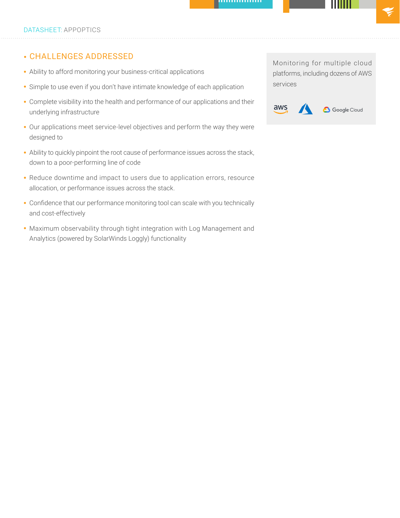## • CHALLENGES ADDRESSED

- Ability to afford monitoring your business-critical applications
- Simple to use even if you don't have intimate knowledge of each application
- Complete visibility into the health and performance of our applications and their underlying infrastructure
- Our applications meet service-level objectives and perform the way they were designed to
- Ability to quickly pinpoint the root cause of performance issues across the stack, down to a poor-performing line of code
- Reduce downtime and impact to users due to application errors, resource allocation, or performance issues across the stack.
- Confidence that our performance monitoring tool can scale with you technically and cost-effectively
- Maximum observability through tight integration with Log Management and Analytics (powered by SolarWinds Loggly) functionality

Monitoring for multiple cloud platforms, including dozens of AWS services